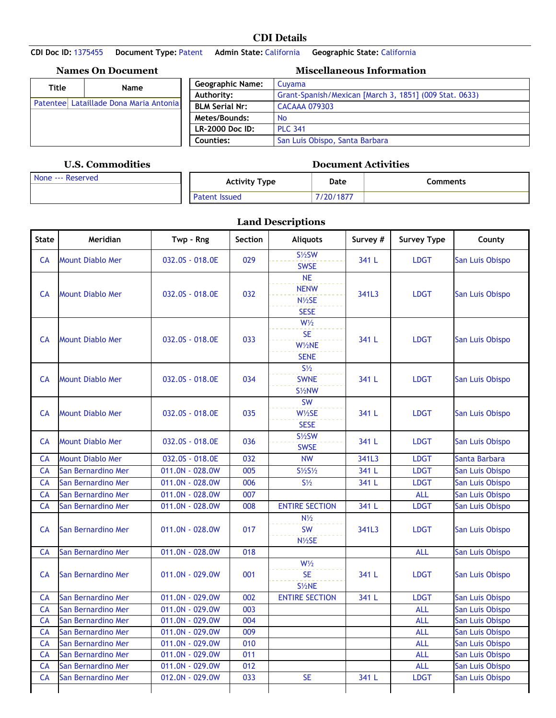## **CDI Details**

**CDI Doc ID:** 1375455 **Document Type:** Patent **Admin State:** California **Geographic State:** California

|                                        | <b>Names On Document</b> | <b>Miscellaneous Information</b>              |                                                        |  |  |  |
|----------------------------------------|--------------------------|-----------------------------------------------|--------------------------------------------------------|--|--|--|
| Title                                  | <b>Name</b>              | <b>Geographic Name:</b>                       | Cuvama                                                 |  |  |  |
|                                        |                          | Authority:                                    | Grant-Spanish/Mexican [March 3, 1851] (009 Stat. 0633) |  |  |  |
| Patentee Lataillade Dona Maria Antonia |                          | <b>BLM Serial Nr:</b><br><b>CACAAA 079303</b> |                                                        |  |  |  |
|                                        |                          | Metes/Bounds:                                 | <b>No</b>                                              |  |  |  |
|                                        |                          | <b>LR-2000 Doc ID:</b>                        | <b>PLC 341</b>                                         |  |  |  |
|                                        |                          | Counties:                                     | San Luis Obispo, Santa Barbara                         |  |  |  |

## **U.S. Commodities Document Activities**

| None --- Reserved | <b>Activity Type</b> | Date     | <b>Comments</b> |
|-------------------|----------------------|----------|-----------------|
|                   | <b>Patent Issued</b> | /20/1877 |                 |

**Land Descriptions**

| <b>State</b> | Meridian                | Twp - Rng       | Section | <b>Aliquots</b>                                      | Survey # | <b>Survey Type</b> | County          |
|--------------|-------------------------|-----------------|---------|------------------------------------------------------|----------|--------------------|-----------------|
| CA           | <b>Mount Diablo Mer</b> | 032.0S - 018.0E | 029     | $S\frac{1}{2}SW$<br><b>SWSE</b>                      | 341 L    | <b>LDGT</b>        | San Luis Obispo |
| <b>CA</b>    | <b>Mount Diablo Mer</b> | 032.0S - 018.0E | 032     | NE<br><b>NENW</b><br>N1/2SE<br><b>SESE</b>           | 341L3    | <b>LDGT</b>        | San Luis Obispo |
| CA           | <b>Mount Diablo Mer</b> | 032.0S - 018.0E | 033     | W <sub>2</sub><br><b>SE</b><br>W1/2NE<br><b>SENE</b> | 341 L    | <b>LDGT</b>        | San Luis Obispo |
| <b>CA</b>    | <b>Mount Diablo Mer</b> | 032.0S - 018.0E | 034     | $S\frac{1}{2}$<br><b>SWNE</b><br>S <sup>1/2</sup> NW | 341 L    | <b>LDGT</b>        | San Luis Obispo |
| <b>CA</b>    | <b>Mount Diablo Mer</b> | 032.0S - 018.0E | 035     | SW<br>$W\frac{1}{2}SE$<br><b>SESE</b>                | 341 L    | <b>LDGT</b>        | San Luis Obispo |
| <b>CA</b>    | <b>Mount Diablo Mer</b> | 032.0S - 018.0E | 036     | $S\frac{1}{2}SW$<br><b>SWSE</b>                      | 341 L    | <b>LDGT</b>        | San Luis Obispo |
| CA           | <b>Mount Diablo Mer</b> | 032.0S - 018.0E | 032     | <b>NW</b>                                            | 341L3    | <b>LDGT</b>        | Santa Barbara   |
| CA           | San Bernardino Mer      | 011.0N - 028.0W | 005     | $S\frac{1}{2}S\frac{1}{2}$                           | 341 L    | <b>LDGT</b>        | San Luis Obispo |
| CA           | San Bernardino Mer      | 011.0N - 028.0W | 006     | $S\frac{1}{2}$                                       | 341 L    | <b>LDGT</b>        | San Luis Obispo |
| CA           | San Bernardino Mer      | 011.0N - 028.0W | 007     |                                                      |          | <b>ALL</b>         | San Luis Obispo |
| CA           | San Bernardino Mer      | 011.0N - 028.0W | 008     | <b>ENTIRE SECTION</b>                                | 341 L    | <b>LDGT</b>        | San Luis Obispo |
| CA           | San Bernardino Mer      | 011.0N - 028.0W | 017     | $N\frac{1}{2}$<br><b>SW</b><br>N <sub>1/2</sub> SE   | 341L3    | <b>LDGT</b>        | San Luis Obispo |
| CA           | San Bernardino Mer      | 011.0N - 028.0W | 018     |                                                      |          | <b>ALL</b>         | San Luis Obispo |
| CA           | San Bernardino Mer      | 011.0N - 029.0W | 001     | W <sub>2</sub><br><b>SE</b><br>S <sup>1/2</sup> NE   | 341 L    | <b>LDGT</b>        | San Luis Obispo |
| <b>CA</b>    | San Bernardino Mer      | 011.0N - 029.0W | 002     | <b>ENTIRE SECTION</b>                                | 341 L    | <b>LDGT</b>        | San Luis Obispo |
| CA           | San Bernardino Mer      | 011.0N - 029.0W | 003     |                                                      |          | <b>ALL</b>         | San Luis Obispo |
| CA           | San Bernardino Mer      | 011.0N - 029.0W | 004     |                                                      |          | <b>ALL</b>         | San Luis Obispo |
| CA           | San Bernardino Mer      | 011.0N - 029.0W | 009     |                                                      |          | <b>ALL</b>         | San Luis Obispo |
| CA           | San Bernardino Mer      | 011.0N - 029.0W | 010     |                                                      |          | <b>ALL</b>         | San Luis Obispo |
| CA           | San Bernardino Mer      | 011.0N - 029.0W | 011     |                                                      |          | <b>ALL</b>         | San Luis Obispo |
| CA           | San Bernardino Mer      | 011.0N - 029.0W | 012     |                                                      |          | <b>ALL</b>         | San Luis Obispo |
| CA           | San Bernardino Mer      | 012.0N - 029.0W | 033     | <b>SE</b>                                            | 341 L    | <b>LDGT</b>        | San Luis Obispo |
|              |                         |                 |         |                                                      |          |                    |                 |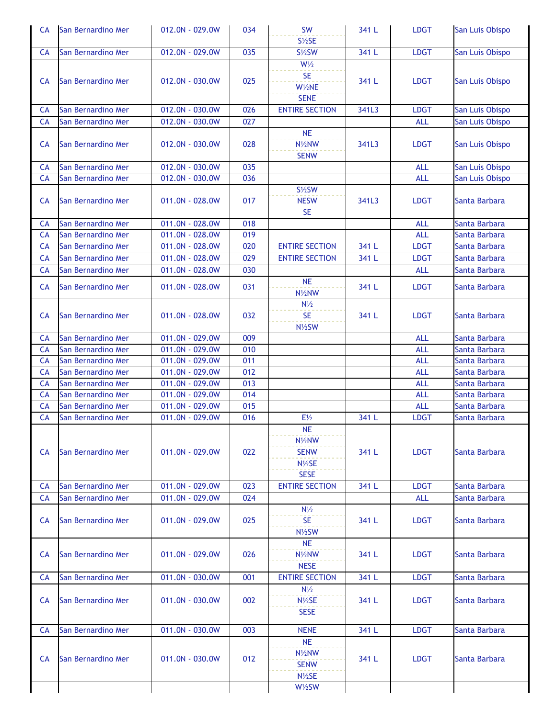| <b>CA</b> | San Bernardino Mer | 012.0N - 029.0W              | 034 | <b>SW</b>                                                                          | 341 L | <b>LDGT</b> | San Luis Obispo |
|-----------|--------------------|------------------------------|-----|------------------------------------------------------------------------------------|-------|-------------|-----------------|
| <b>CA</b> | San Bernardino Mer | 012.0N - 029.0W              | 035 | $S\frac{1}{2}SE$<br>$S\frac{1}{2}SW$                                               | 341 L | <b>LDGT</b> | San Luis Obispo |
|           |                    |                              |     | $W\frac{1}{2}$                                                                     |       |             |                 |
| <b>CA</b> | San Bernardino Mer | 012.0N - 030.0W              | 025 | <b>SE</b><br>W1/2NE<br><b>SENE</b>                                                 | 341 L | <b>LDGT</b> | San Luis Obispo |
| <b>CA</b> | San Bernardino Mer | 012.0N - 030.0W              | 026 | <b>ENTIRE SECTION</b>                                                              | 341L3 | <b>LDGT</b> | San Luis Obispo |
| CA        | San Bernardino Mer | 012.0N - 030.0W              | 027 |                                                                                    |       | <b>ALL</b>  | San Luis Obispo |
| <b>CA</b> | San Bernardino Mer | 012.0N - 030.0W              | 028 | <b>NE</b><br>N <sup>1</sup> / <sub>2</sub> NW<br><b>SENW</b>                       | 341L3 | <b>LDGT</b> | San Luis Obispo |
| <b>CA</b> | San Bernardino Mer | 012.0N - 030.0W              | 035 |                                                                                    |       | <b>ALL</b>  | San Luis Obispo |
| CA        | San Bernardino Mer | 012.0N - 030.0W              | 036 |                                                                                    |       | <b>ALL</b>  | San Luis Obispo |
| <b>CA</b> | San Bernardino Mer | 011.0N - 028.0W              | 017 | $S\frac{1}{2}SW$<br><b>NESW</b><br><b>SE</b>                                       | 341L3 | <b>LDGT</b> | Santa Barbara   |
| <b>CA</b> | San Bernardino Mer | 011.0N - 028.0W              | 018 |                                                                                    |       | <b>ALL</b>  | Santa Barbara   |
| CA        | San Bernardino Mer | 011.0N - 028.0W              | 019 |                                                                                    |       | <b>ALL</b>  | Santa Barbara   |
| CA        | San Bernardino Mer | 011.0N - 028.0W              | 020 | <b>ENTIRE SECTION</b>                                                              | 341 L | <b>LDGT</b> | Santa Barbara   |
| CA        | San Bernardino Mer | 011.0N - 028.0W              | 029 | <b>ENTIRE SECTION</b>                                                              | 341 L | <b>LDGT</b> | Santa Barbara   |
| CA        | San Bernardino Mer | 011.0N - 028.0W              | 030 |                                                                                    |       | <b>ALL</b>  | Santa Barbara   |
| <b>CA</b> | San Bernardino Mer | 011.0N - 028.0W              | 031 | <b>NE</b><br>N <sup>1</sup> / <sub>2</sub> NW                                      | 341 L | <b>LDGT</b> | Santa Barbara   |
| <b>CA</b> | San Bernardino Mer | 011.0N - 028.0W              | 032 | $N\frac{1}{2}$<br><b>SE</b><br>N <sub>1/2</sub> SW                                 | 341 L | <b>LDGT</b> | Santa Barbara   |
| <b>CA</b> | San Bernardino Mer | 011.0N - 029.0W              | 009 |                                                                                    |       | <b>ALL</b>  | Santa Barbara   |
| <b>CA</b> | San Bernardino Mer | 011.0N - 029.0W              | 010 |                                                                                    |       | <b>ALL</b>  | Santa Barbara   |
| CA        | San Bernardino Mer | 011.0N - 029.0W              | 011 |                                                                                    |       | <b>ALL</b>  | Santa Barbara   |
| CA        | San Bernardino Mer | 011.0N - 029.0W              | 012 |                                                                                    |       | <b>ALL</b>  | Santa Barbara   |
| <b>CA</b> | San Bernardino Mer | 011.0N - 029.0W              | 013 |                                                                                    |       | <b>ALL</b>  | Santa Barbara   |
| CA        | San Bernardino Mer | 011.0N - 029.0W              | 014 |                                                                                    |       | <b>ALL</b>  | Santa Barbara   |
| CA        | San Bernardino Mer | $\overline{011.0N} - 029.0W$ | 015 |                                                                                    |       | <b>ALL</b>  | Santa Barbara   |
| CA        | San Bernardino Mer | 011.0N - 029.0W              | 016 | $E\frac{1}{2}$                                                                     | 341 L | <b>LDGT</b> | Santa Barbara   |
| <b>CA</b> | San Bernardino Mer | 011.0N - 029.0W              | 022 | <b>NE</b><br>N <sub>1/2</sub> NW<br><b>SENW</b><br>$N\frac{1}{2}SE$<br><b>SESE</b> | 341 L | <b>LDGT</b> | Santa Barbara   |
| <b>CA</b> | San Bernardino Mer | 011.0N - 029.0W              | 023 | <b>ENTIRE SECTION</b>                                                              | 341 L | <b>LDGT</b> | Santa Barbara   |
| <b>CA</b> | San Bernardino Mer | 011.0N - 029.0W              | 024 |                                                                                    |       | <b>ALL</b>  | Santa Barbara   |
| <b>CA</b> | San Bernardino Mer | $011.0N - 029.0W$            | 025 | $N\frac{1}{2}$<br><b>SE</b><br>$N\frac{1}{2}SW$                                    | 341 L | <b>LDGT</b> | Santa Barbara   |
| <b>CA</b> | San Bernardino Mer | 011.0N - 029.0W              | 026 | <b>NE</b><br>N <sup>1</sup> / <sub>2</sub> NW<br><b>NESE</b>                       | 341 L | <b>LDGT</b> | Santa Barbara   |
| <b>CA</b> | San Bernardino Mer | 011.0N - 030.0W              | 001 | <b>ENTIRE SECTION</b>                                                              | 341 L | <b>LDGT</b> | Santa Barbara   |
| <b>CA</b> | San Bernardino Mer | 011.0N - 030.0W              | 002 | $N\frac{1}{2}$<br>$N\frac{1}{2}SE$<br><b>SESE</b>                                  | 341 L | <b>LDGT</b> | Santa Barbara   |
| <b>CA</b> | San Bernardino Mer | 011.0N - 030.0W              | 003 | <b>NENE</b>                                                                        | 341 L | <b>LDGT</b> | Santa Barbara   |
| <b>CA</b> | San Bernardino Mer | 011.0N - 030.0W              | 012 | <b>NE</b><br>N <sub>1/2</sub> NW<br><b>SENW</b><br>N <sub>1/2</sub> SE<br>W1/2SW   | 341 L | <b>LDGT</b> | Santa Barbara   |
|           |                    |                              |     |                                                                                    |       |             |                 |